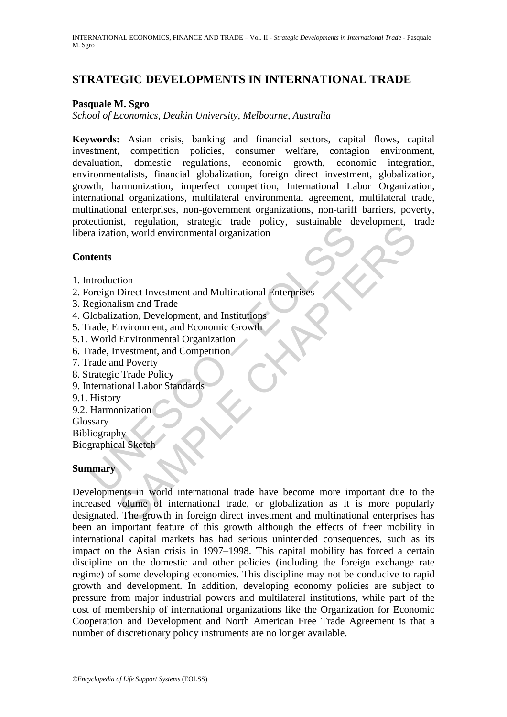## **STRATEGIC DEVELOPMENTS IN INTERNATIONAL TRADE**

#### **Pasquale M. Sgro**

*School of Economics, Deakin University, Melbourne, Australia* 

Explanation, vorted environmental organization<br>
andization, world environmental organization<br>
atents<br>
are discussed by the procedure of the second control<br>
egionalism and Trade<br>
Elobalization, Development, and Institutions **Keywords:** Asian crisis, banking and financial sectors, capital flows, capital investment, competition policies, consumer welfare, contagion environment, devaluation, domestic regulations, economic growth, economic integration, environmentalists, financial globalization, foreign direct investment, globalization, growth, harmonization, imperfect competition, International Labor Organization, international organizations, multilateral environmental agreement, multilateral trade, multinational enterprises, non-government organizations, non-tariff barriers, poverty, protectionist, regulation, strategic trade policy, sustainable development, trade liberalization, world environmental organization

#### **Contents**

- 1. Introduction
- 2. Foreign Direct Investment and Multinational Enterprises
- 3. Regionalism and Trade
- 4. Globalization, Development, and Institutions
- 5. Trade, Environment, and Economic Growth
- 5.1. World Environmental Organization
- 6. Trade, Investment, and Competition
- 7. Trade and Poverty
- 8. Strategic Trade Policy
- 9. International Labor Standards
- 9.1. History
- 9.2. Harmonization
- Glossary
- Bibliography

Biographical Sketch

### **Summary**

Statemann and Trade Terms and Multinational Enterprises<br>
Son, world environmental organization<br>
Direct Investoment and Multinational Enterprises<br>
Islam and Trade<br>
Invironment, and Economic Growth<br>
Environment, and Competit Developments in world international trade have become more important due to the increased volume of international trade, or globalization as it is more popularly designated. The growth in foreign direct investment and multinational enterprises has been an important feature of this growth although the effects of freer mobility in international capital markets has had serious unintended consequences, such as its impact on the Asian crisis in 1997–1998. This capital mobility has forced a certain discipline on the domestic and other policies (including the foreign exchange rate regime) of some developing economies. This discipline may not be conducive to rapid growth and development. In addition, developing economy policies are subject to pressure from major industrial powers and multilateral institutions, while part of the cost of membership of international organizations like the Organization for Economic Cooperation and Development and North American Free Trade Agreement is that a number of discretionary policy instruments are no longer available.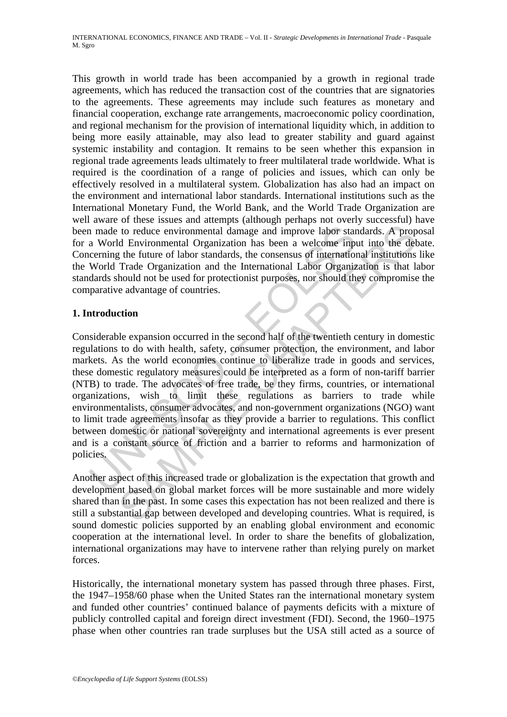This growth in world trade has been accompanied by a growth in regional trade agreements, which has reduced the transaction cost of the countries that are signatories to the agreements. These agreements may include such features as monetary and financial cooperation, exchange rate arrangements, macroeconomic policy coordination, and regional mechanism for the provision of international liquidity which, in addition to being more easily attainable, may also lead to greater stability and guard against systemic instability and contagion. It remains to be seen whether this expansion in regional trade agreements leads ultimately to freer multilateral trade worldwide. What is required is the coordination of a range of policies and issues, which can only be effectively resolved in a multilateral system. Globalization has also had an impact on the environment and international labor standards. International institutions such as the International Monetary Fund, the World Bank, and the World Trade Organization are well aware of these issues and attempts (although perhaps not overly successful) have been made to reduce environmental damage and improve labor standards. A proposal for a World Environmental Organization has been a welcome input into the debate. Concerning the future of labor standards, the consensus of international institutions like the World Trade Organization and the International Labor Organization is that labor standards should not be used for protectionist purposes, nor should they compromise the comparative advantage of countries.

## **1. Introduction**

I made to reduce environmental damage and improve labor star<br>a World Environmental Organization has been a welcome inp<br>cerning the future of labor standards, the consensus of internation<br>World Trade Organization and the In to reduce environmental damage and improve labor standards. A prop<br>d Environmental Organization has been a welcome input into the del<br>the future of labor standards, the consensus of international institutions<br>Trade Trade O Considerable expansion occurred in the second half of the twentieth century in domestic regulations to do with health, safety, consumer protection, the environment, and labor markets. As the world economies continue to liberalize trade in goods and services, these domestic regulatory measures could be interpreted as a form of non-tariff barrier (NTB) to trade. The advocates of free trade, be they firms, countries, or international organizations, wish to limit these regulations as barriers to trade while environmentalists, consumer advocates, and non-government organizations (NGO) want to limit trade agreements insofar as they provide a barrier to regulations. This conflict between domestic or national sovereignty and international agreements is ever present and is a constant source of friction and a barrier to reforms and harmonization of policies.

Another aspect of this increased trade or globalization is the expectation that growth and development based on global market forces will be more sustainable and more widely shared than in the past. In some cases this expectation has not been realized and there is still a substantial gap between developed and developing countries. What is required, is sound domestic policies supported by an enabling global environment and economic cooperation at the international level. In order to share the benefits of globalization, international organizations may have to intervene rather than relying purely on market forces.

Historically, the international monetary system has passed through three phases. First, the 1947–1958/60 phase when the United States ran the international monetary system and funded other countries' continued balance of payments deficits with a mixture of publicly controlled capital and foreign direct investment (FDI). Second, the 1960–1975 phase when other countries ran trade surpluses but the USA still acted as a source of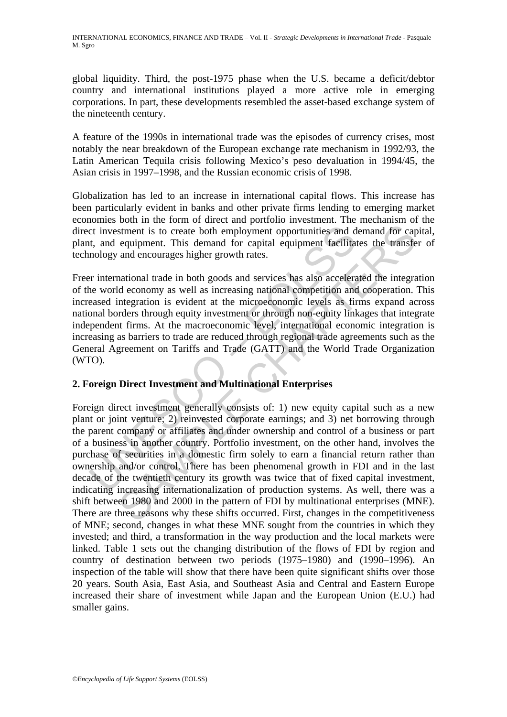global liquidity. Third, the post-1975 phase when the U.S. became a deficit/debtor country and international institutions played a more active role in emerging corporations. In part, these developments resembled the asset-based exchange system of the nineteenth century.

A feature of the 1990s in international trade was the episodes of currency crises, most notably the near breakdown of the European exchange rate mechanism in 1992/93, the Latin American Tequila crisis following Mexico's peso devaluation in 1994/45, the Asian crisis in 1997–1998, and the Russian economic crisis of 1998.

Globalization has led to an increase in international capital flows. This increase has been particularly evident in banks and other private firms lending to emerging market economies both in the form of direct and portfolio investment. The mechanism of the direct investment is to create both employment opportunities and demand for capital, plant, and equipment. This demand for capital equipment facilitates the transfer of technology and encourages higher growth rates.

continues is to create both employment opportunities and d<br>t, and equipment. This demand for capital equipment facilitat<br>mology and encourages higher growth rates.<br>Friententiational trade in both goods and services has als Freer international trade in both goods and services has also accelerated the integration of the world economy as well as increasing national competition and cooperation. This increased integration is evident at the microeconomic levels as firms expand across national borders through equity investment or through non-equity linkages that integrate independent firms. At the macroeconomic level, international economic integration is increasing as barriers to trade are reduced through regional trade agreements such as the General Agreement on Tariffs and Trade (GATT) and the World Trade Organization (WTO).

### **2. Foreign Direct Investment and Multinational Enterprises**

strument is to create both employment opportunities and demand for care<br>equipment. This demand for capital equipment facilitates the transfer<br>and encourages higher growth rates.<br>
mational trade in both goods and services h Foreign direct investment generally consists of: 1) new equity capital such as a new plant or joint venture; 2) reinvested corporate earnings; and 3) net borrowing through the parent company or affiliates and under ownership and control of a business or part of a business in another country. Portfolio investment, on the other hand, involves the purchase of securities in a domestic firm solely to earn a financial return rather than ownership and/or control. There has been phenomenal growth in FDI and in the last decade of the twentieth century its growth was twice that of fixed capital investment, indicating increasing internationalization of production systems. As well, there was a shift between 1980 and 2000 in the pattern of FDI by multinational enterprises (MNE). There are three reasons why these shifts occurred. First, changes in the competitiveness of MNE; second, changes in what these MNE sought from the countries in which they invested; and third, a transformation in the way production and the local markets were linked. Table 1 sets out the changing distribution of the flows of FDI by region and country of destination between two periods (1975–1980) and (1990–1996). An inspection of the table will show that there have been quite significant shifts over those 20 years. South Asia, East Asia, and Southeast Asia and Central and Eastern Europe increased their share of investment while Japan and the European Union (E.U.) had smaller gains.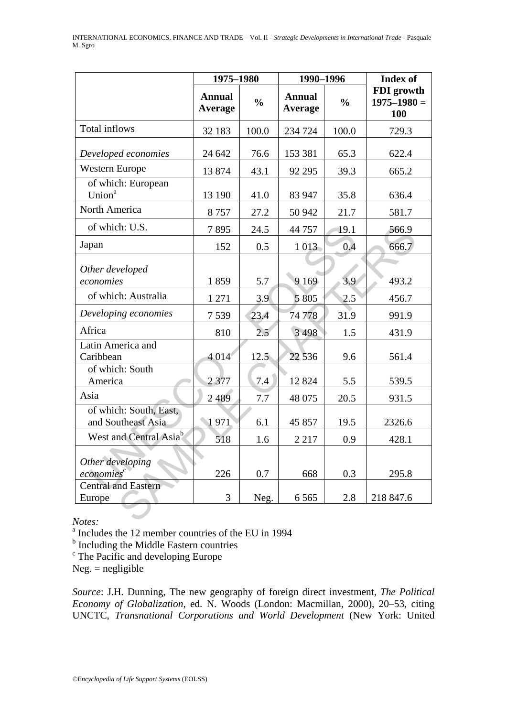|                                              | 1975-1980                |               | 1990-1996                |               | <b>Index of</b>                             |  |
|----------------------------------------------|--------------------------|---------------|--------------------------|---------------|---------------------------------------------|--|
|                                              | <b>Annual</b><br>Average | $\frac{0}{0}$ | <b>Annual</b><br>Average | $\frac{0}{0}$ | FDI growth<br>$1975 - 1980 =$<br><b>100</b> |  |
| Total inflows                                | 32 183                   | 100.0         | 234 724                  | 100.0         | 729.3                                       |  |
| Developed economies                          | 24 642                   | 76.6          | 153 381                  | 65.3          | 622.4                                       |  |
| <b>Western Europe</b>                        | 13 874                   | 43.1          | 92 295                   | 39.3          | 665.2                                       |  |
| of which: European<br>Union <sup>a</sup>     | 13 190                   | 41.0          | 83 947                   | 35.8          | 636.4                                       |  |
| North America                                | 8757                     | 27.2          | 50 942                   | 21.7          | 581.7                                       |  |
| of which: U.S.                               | 7895                     | 24.5          | 44 757                   | 19.1          | 566.9                                       |  |
| Japan                                        | 152                      | 0.5           | 1 0 1 3                  | 0.4           | 666.7                                       |  |
| Other developed<br>economies                 | 1859                     | 5.7           | 9 1 6 9                  | 3.9           | 493.2                                       |  |
| of which: Australia                          | 1 271                    | 3.9           | 5 8 0 5                  | 2.5           | 456.7                                       |  |
| Developing economies                         | 7539                     | 23.4          | 74 778                   | 31.9          | 991.9                                       |  |
| Africa                                       | 810                      | 2.5           | 3 4 9 8                  | 1.5           | 431.9                                       |  |
| Latin America and<br>Caribbean               | 4 0 1 4                  | 12.5          | 22 536                   | 9.6           | 561.4                                       |  |
| of which: South<br>America                   | 2377                     | 7.4           | 12 8 24                  | 5.5           | 539.5                                       |  |
| Asia                                         | 2489                     | 7.7           | 48 075                   | 20.5          | 931.5                                       |  |
| of which: South, East,<br>and Southeast Asia | 1971                     | 6.1           | 45 857                   | 19.5          | 2326.6                                      |  |
| West and Central Asia <sup>b</sup>           | 518                      | 1.6           | 2 2 1 7                  | 0.9           | 428.1                                       |  |
| Other developing<br>economies                | 226                      | 0.7           | 668                      | 0.3           | 295.8                                       |  |
| <b>Central and Eastern</b><br>Europe         | 3                        | Neg.          | 6565                     | 2.8           | 218 847.6                                   |  |

*Notes:* 

a Includes the 12 member countries of the EU in 1994

<sup>b</sup> Including the Middle Eastern countries

<sup>c</sup> The Pacific and developing Europe

 $Neg. = negligible$ 

*Source*: J.H. Dunning, The new geography of foreign direct investment, *The Political Economy of Globalization*, ed. N. Woods (London: Macmillan, 2000), 20–53, citing UNCTC, *Transnational Corporations and World Development* (New York: United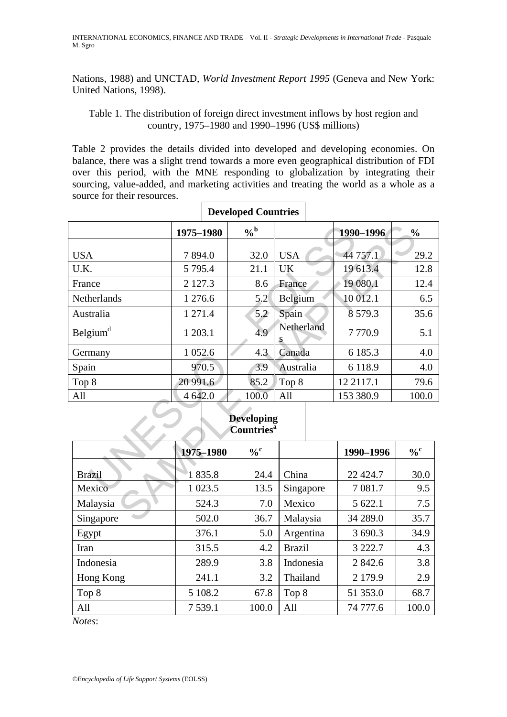Nations, 1988) and UNCTAD, *World Investment Report 1995* (Geneva and New York: United Nations, 1998).

Table 1. The distribution of foreign direct investment inflows by host region and country, 1975–1980 and 1990–1996 (US\$ millions)

Table 2 provides the details divided into developed and developing economies. On balance, there was a slight trend towards a more even geographical distribution of FDI over this period, with the MNE responding to globalization by integrating their sourcing, value-added, and marketing activities and treating the world as a whole as a source for their resources.

|                                                    | Developed Countries |               |                 |             |               |  |  |
|----------------------------------------------------|---------------------|---------------|-----------------|-------------|---------------|--|--|
|                                                    | 1975-1980           | $\frac{6}{6}$ |                 | 1990-1996   | $\frac{0}{0}$ |  |  |
| <b>USA</b>                                         | 7894.0              | 32.0          | <b>USA</b>      | 44 757.1    | 29.2          |  |  |
| U.K.                                               | 5 7 9 5 .4          | 21.1          | UK              | 19 613.4    | 12.8          |  |  |
| France                                             | 2 1 2 7 . 3         | 8.6           | France          | 19 080.1    | 12.4          |  |  |
| Netherlands                                        | 1 276.6             | 5.2           | Belgium         | 10 012.1    | 6.5           |  |  |
| Australia                                          | 1 271.4             | 5.2           | Spain           | 8 5 7 9 . 3 | 35.6          |  |  |
| Belgium <sup>d</sup>                               | 1 203.1             | 4.9           | Netherland<br>S | 7770.9      | 5.1           |  |  |
| Germany                                            | 1 0 5 2.6           | 4.3           | Canada          | 6 185.3     | 4.0           |  |  |
| Spain                                              | 970.5               | 3.9           | Australia       | 6 1 1 8 .9  | 4.0           |  |  |
| Top 8                                              | 20 991.6            | 85.2          | Top 8           | 12 21 17.1  | 79.6          |  |  |
| All                                                | 4 642.0             | 100.0         | All             | 153 380.9   | 100.0         |  |  |
| <b>Developing</b><br><b>Countries</b> <sup>a</sup> |                     |               |                 |             |               |  |  |
|                                                    | 1975-1980           | $\frac{0}{6}$ |                 | 1990-1996   | $\frac{6}{6}$ |  |  |
| <b>Brazil</b>                                      | 1835.8              | 24.4          | China           | 22 4 24.7   | 30.0          |  |  |
| Mexico                                             | 1 0 23.5            | 13.5          | Singapore       | 7 081.7     | 9.5           |  |  |
| Malaysia                                           | 524.3               | 7.0           | Mexico          | 5 622.1     | 7.5           |  |  |
| Singapore                                          | 502.0               | 36.7          | Malaysia        | 34 289.0    | 35.7          |  |  |

| <b>Developed Countries</b> |  |
|----------------------------|--|
|----------------------------|--|

#### **Developing Countriesa**

|               | 1975-1980 | $\frac{0}{c}$ |               | 1990-1996  | $\frac{0}{c}$ |
|---------------|-----------|---------------|---------------|------------|---------------|
| <b>Brazil</b> | 1835.8    | 24.4          | China         | 22 4 24.7  | 30.0          |
|               |           |               |               |            |               |
| Mexico        | 1 0 23.5  | 13.5          | Singapore     | 7 081.7    | 9.5           |
| Malaysia      | 524.3     | 7.0           | Mexico        | 5 622.1    | 7.5           |
| Singapore     | 502.0     | 36.7          | Malaysia      | 34 289.0   | 35.7          |
| Egypt         | 376.1     | 5.0           | Argentina     | 3 690.3    | 34.9          |
| Iran          | 315.5     | 4.2           | <b>Brazil</b> | 3 2 2 2 .7 | 4.3           |
| Indonesia     | 289.9     | 3.8           | Indonesia     | 2 842.6    | 3.8           |
| Hong Kong     | 241.1     | 3.2           | Thailand      | 2 179.9    | 2.9           |
| Top 8         | 5 108.2   | 67.8          | Top 8         | 51 353.0   | 68.7          |
| All           | 7 539.1   | 100.0         | All           | 74 777.6   | 100.0         |

*Notes*: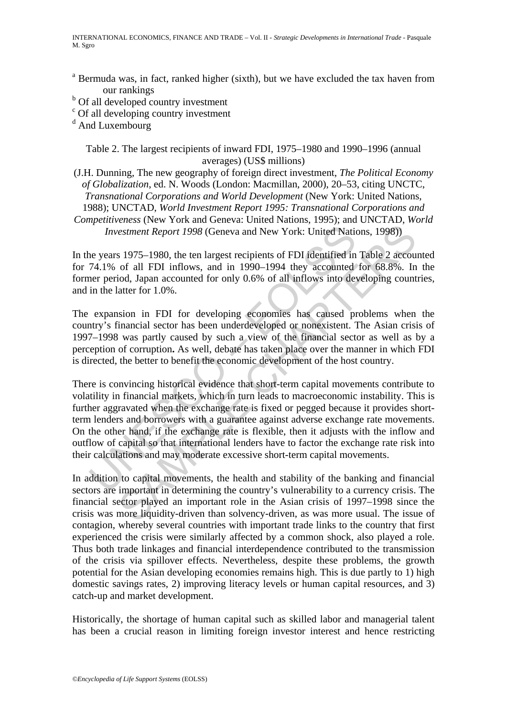- <sup>a</sup> Bermuda was, in fact, ranked higher (sixth), but we have excluded the tax haven from our rankings
- <sup>b</sup> Of all developed country investment
- c Of all developing country investment

<sup>d</sup> And Luxembourg

Table 2. The largest recipients of inward FDI, 1975–1980 and 1990–1996 (annual averages) (US\$ millions)

(J.H. Dunning, The new geography of foreign direct investment, *The Political Economy of Globalization*, ed. N. Woods (London: Macmillan, 2000), 20–53, citing UNCTC, *Transnational Corporations and World Development* (New York: United Nations, 1988); UNCTAD, *World Investment Report 1995: Transnational Corporations and Competitiveness* (New York and Geneva: United Nations, 1995); and UNCTAD, *World Investment Report 1998* (Geneva and New York: United Nations, 1998))

In the years 1975–1980, the ten largest recipients of FDI identified in Table 2 accounted for 74.1% of all FDI inflows, and in 1990–1994 they accounted for 68.8%. In the former period, Japan accounted for only 0.6% of all inflows into developing countries, and in the latter for 1.0%.

The expansion in FDI for developing economies has caused problems when the country's financial sector has been underdeveloped or nonexistent. The Asian crisis of 1997–1998 was partly caused by such a view of the financial sector as well as by a perception of corruption**.** As well, debate has taken place over the manner in which FDI is directed, the better to benefit the economic development of the host country.

Investment Report 1998 (Geneva and New York: United National Report 1998 (Geneva and New York: United National PH  $34.1\%$  of all FDI inflows, and in 1990–1994 they accounted for priod, Japan accounted for only 0.6% of al estment Report 1998 (Geneva and New York: United Nations, 1998))<br>s 1975–1980, the ten largest recipients of FDI identified in Table 2 accours<br>of all FDI inflows, and in 1990–1994 they accounted for 68.8%. In<br>iod, Japan acc There is convincing historical evidence that short-term capital movements contribute to volatility in financial markets, which in turn leads to macroeconomic instability. This is further aggravated when the exchange rate is fixed or pegged because it provides shortterm lenders and borrowers with a guarantee against adverse exchange rate movements. On the other hand, if the exchange rate is flexible, then it adjusts with the inflow and outflow of capital so that international lenders have to factor the exchange rate risk into their calculations and may moderate excessive short-term capital movements.

In addition to capital movements, the health and stability of the banking and financial sectors are important in determining the country's vulnerability to a currency crisis. The financial sector played an important role in the Asian crisis of 1997–1998 since the crisis was more liquidity-driven than solvency-driven, as was more usual. The issue of contagion, whereby several countries with important trade links to the country that first experienced the crisis were similarly affected by a common shock, also played a role. Thus both trade linkages and financial interdependence contributed to the transmission of the crisis via spillover effects. Nevertheless, despite these problems, the growth potential for the Asian developing economies remains high. This is due partly to 1) high domestic savings rates, 2) improving literacy levels or human capital resources, and 3) catch-up and market development.

Historically, the shortage of human capital such as skilled labor and managerial talent has been a crucial reason in limiting foreign investor interest and hence restricting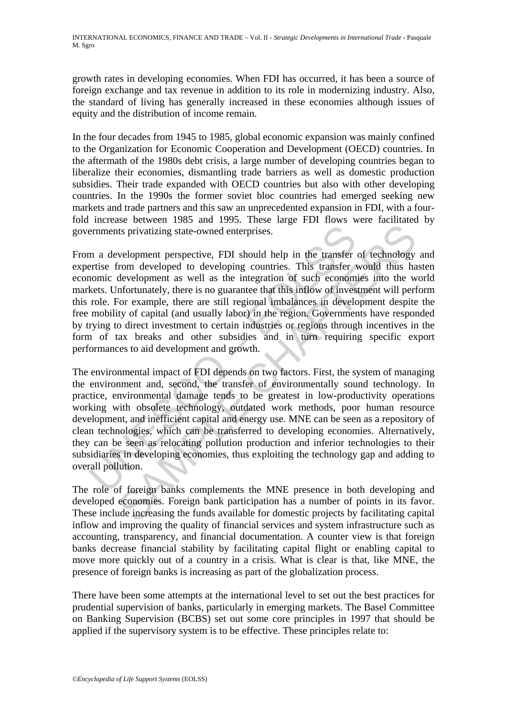growth rates in developing economies. When FDI has occurred, it has been a source of foreign exchange and tax revenue in addition to its role in modernizing industry. Also, the standard of living has generally increased in these economies although issues of equity and the distribution of income remain.

In the four decades from 1945 to 1985, global economic expansion was mainly confined to the Organization for Economic Cooperation and Development (OECD) countries. In the aftermath of the 1980s debt crisis, a large number of developing countries began to liberalize their economies, dismantling trade barriers as well as domestic production subsidies. Their trade expanded with OECD countries but also with other developing countries. In the 1990s the former soviet bloc countries had emerged seeking new markets and trade partners and this saw an unprecedented expansion in FDI, with a fourfold increase between 1985 and 1995. These large FDI flows were facilitated by governments privatizing state-owned enterprises.

From a development perspective, FDI should help in the transfer of technology and expertise from developed to developing countries. This transfer would thus hasten economic development as well as the integration of such economies into the world markets. Unfortunately, there is no guarantee that this inflow of investment will perform this role. For example, there are still regional imbalances in development despite the free mobility of capital (and usually labor) in the region. Governments have responded by trying to direct investment to certain industries or regions through incentives in the form of tax breaks and other subsidies and in turn requiring specific export performances to aid development and growth.

erments privatizing state-owned enterprises.<br>
an a development perspective, FDI should help in the transfer-<br>
erritse from developed to developing countries. This transfer<br>
trom development as well as the integration of su Its privatizing state-owned enterprises.<br>
welopment perspective, FDI should help in the transfer of technology<br>
rom developed to developing countries. This transfer would thus ha<br>
development as well as the integration of The environmental impact of FDI depends on two factors. First, the system of managing the environment and, second, the transfer of environmentally sound technology. In practice, environmental damage tends to be greatest in low-productivity operations working with obsolete technology, outdated work methods, poor human resource development, and inefficient capital and energy use. MNE can be seen as a repository of clean technologies, which can be transferred to developing economies. Alternatively, they can be seen as relocating pollution production and inferior technologies to their subsidiaries in developing economies, thus exploiting the technology gap and adding to overall pollution.

The role of foreign banks complements the MNE presence in both developing and developed economies. Foreign bank participation has a number of points in its favor. These include increasing the funds available for domestic projects by facilitating capital inflow and improving the quality of financial services and system infrastructure such as accounting, transparency, and financial documentation. A counter view is that foreign banks decrease financial stability by facilitating capital flight or enabling capital to move more quickly out of a country in a crisis. What is clear is that, like MNE, the presence of foreign banks is increasing as part of the globalization process.

There have been some attempts at the international level to set out the best practices for prudential supervision of banks, particularly in emerging markets. The Basel Committee on Banking Supervision (BCBS) set out some core principles in 1997 that should be applied if the supervisory system is to be effective. These principles relate to: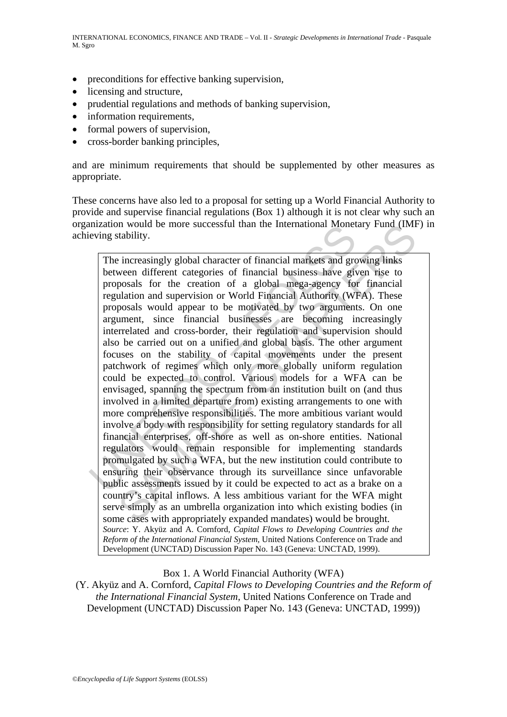- preconditions for effective banking supervision,
- licensing and structure,
- prudential regulations and methods of banking supervision,
- information requirements,
- formal powers of supervision,
- cross-border banking principles,

and are minimum requirements that should be supplemented by other measures as appropriate.

These concerns have also led to a proposal for setting up a World Financial Authority to provide and supervise financial regulations (Box 1) although it is not clear why such an organization would be more successful than the International Monetary Fund (IMF) in achieving stability.

Inization would be more successium in the international monet<br>
eving stability.<br>
The increasingly global character of financial markets and gree<br>
between different categories of financial business have given<br>
proposals for In would be more successful than the international Monetary Fund (INH<br>tability.<br>
italisting.<br>
italisting.<br>
italisting.<br>
Italisting in the creation of a global mega-agency for financial<br>
Individualition and supervision or W The increasingly global character of financial markets and growing links between different categories of financial business have given rise to proposals for the creation of a global mega-agency for financial regulation and supervision or World Financial Authority (WFA). These proposals would appear to be motivated by two arguments. On one argument, since financial businesses are becoming increasingly interrelated and cross-border, their regulation and supervision should also be carried out on a unified and global basis. The other argument focuses on the stability of capital movements under the present patchwork of regimes which only more globally uniform regulation could be expected to control. Various models for a WFA can be envisaged, spanning the spectrum from an institution built on (and thus involved in a limited departure from) existing arrangements to one with more comprehensive responsibilities. The more ambitious variant would involve a body with responsibility for setting regulatory standards for all financial enterprises, off-shore as well as on-shore entities. National regulators would remain responsible for implementing standards promulgated by such a WFA, but the new institution could contribute to ensuring their observance through its surveillance since unfavorable public assessments issued by it could be expected to act as a brake on a country's capital inflows. A less ambitious variant for the WFA might serve simply as an umbrella organization into which existing bodies (in some cases with appropriately expanded mandates) would be brought. *Source*: Y. Akyüz and A. Cornford, *Capital Flows to Developing Countries and the Reform of the International Financial System,* United Nations Conference on Trade and Development (UNCTAD) Discussion Paper No. 143 (Geneva: UNCTAD, 1999).

Box 1. A World Financial Authority (WFA)

(Y. Akyüz and A. Cornford, *Capital Flows to Developing Countries and the Reform of the International Financial System,* United Nations Conference on Trade and Development (UNCTAD) Discussion Paper No. 143 (Geneva: UNCTAD, 1999))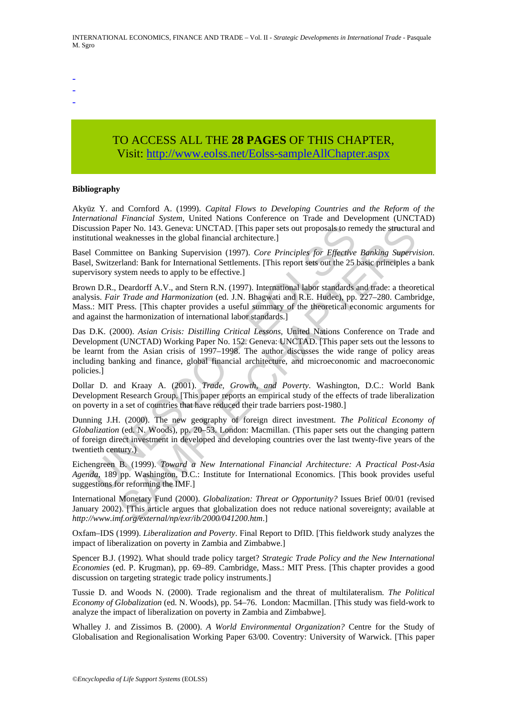- -
- -
- -

# TO ACCESS ALL THE **28 PAGES** OF THIS CHAPTER, Visit: [http://www.eolss.net/Eolss-sampleAllChapter.aspx](https://www.eolss.net/ebooklib/sc_cart.aspx?File=E1-23-05)

#### **Bibliography**

Akyüz Y. and Cornford A. (1999). *Capital Flows to Developing Countries and the Reform of the International Financial System,* United Nations Conference on Trade and Development (UNCTAD) Discussion Paper No. 143. Geneva: UNCTAD. [This paper sets out proposals to remedy the structural and institutional weaknesses in the global financial architecture.]

Basel Committee on Banking Supervision (1997). *Core Principles for Effective Banking Supervision*. Basel, Switzerland: Bank for International Settlements. [This report sets out the 25 basic principles a bank supervisory system needs to apply to be effective.]

Brown D.R., Deardorff A.V., and Stern R.N. (1997). International labor standards and trade: a theoretical analysis. *Fair Trade and Harmonization* (ed. J.N. Bhagwati and R.E. Hudec), pp. 227–280. Cambridge, Mass.: MIT Press. [This chapter provides a useful summary of the theoretical economic arguments for and against the harmonization of international labor standards.]

ussion Paper No. 143. Geneva: UNCTAD. [This paper sets out proposals to rerutional weaknesses in the global financial architecture.]<br>
1 Committee on Banking Supervision (1997). Core Principles for Effective 1, Switzerland: aper No. 143, Geneva: UNCTAD. [This paper sets out proposals to remedy the structura<br>veaknesses in the global financial architecture.]<br>
intitee on Banking Supervision (1997). Core Principles for Effective Banking Supervir<br> Das D.K. (2000). *Asian Crisis: Distilling Critical Lessons*, United Nations Conference on Trade and Development (UNCTAD) Working Paper No. 152. Geneva: UNCTAD. [This paper sets out the lessons to be learnt from the Asian crisis of 1997–1998. The author discusses the wide range of policy areas including banking and finance, global financial architecture, and microeconomic and macroeconomic policies.]

Dollar D. and Kraay A. (2001). *Trade, Growth, and Poverty*. Washington, D.C.: World Bank Development Research Group. [This paper reports an empirical study of the effects of trade liberalization on poverty in a set of countries that have reduced their trade barriers post-1980.]

Dunning J.H. (2000). The new geography of foreign direct investment. *The Political Economy of Globalization* (ed. N. Woods), pp. 20–53. London: Macmillan. (This paper sets out the changing pattern of foreign direct investment in developed and developing countries over the last twenty-five years of the twentieth century.)

Eichengreen B. (1999). *Toward a New International Financial Architecture: A Practical Post-Asia Agenda*, 189 pp. Washington, D.C.: Institute for International Economics. [This book provides useful suggestions for reforming the IMF.]

International Monetary Fund (2000). *Globalization: Threat or Opportunity?* Issues Brief 00/01 (revised January 2002). [This article argues that globalization does not reduce national sovereignty; available at *http://www.imf.org/external/np/exr/ib/2000/041200.htm*.]

Oxfam–IDS (1999). *Liberalization and Poverty*. Final Report to DfID. [This fieldwork study analyzes the impact of liberalization on poverty in Zambia and Zimbabwe.]

Spencer B.J. (1992). What should trade policy target? *Strategic Trade Policy and the New International Economies* (ed. P. Krugman), pp. 69–89. Cambridge, Mass.: MIT Press. [This chapter provides a good discussion on targeting strategic trade policy instruments.]

Tussie D. and Woods N. (2000). Trade regionalism and the threat of multilateralism. *The Political Economy of Globalization* (ed. N. Woods), pp. 54–76. London: Macmillan. [This study was field-work to analyze the impact of liberalization on poverty in Zambia and Zimbabwe].

Whalley J. and Zissimos B. (2000). *A World Environmental Organization?* Centre for the Study of Globalisation and Regionalisation Working Paper 63/00. Coventry: University of Warwick. [This paper